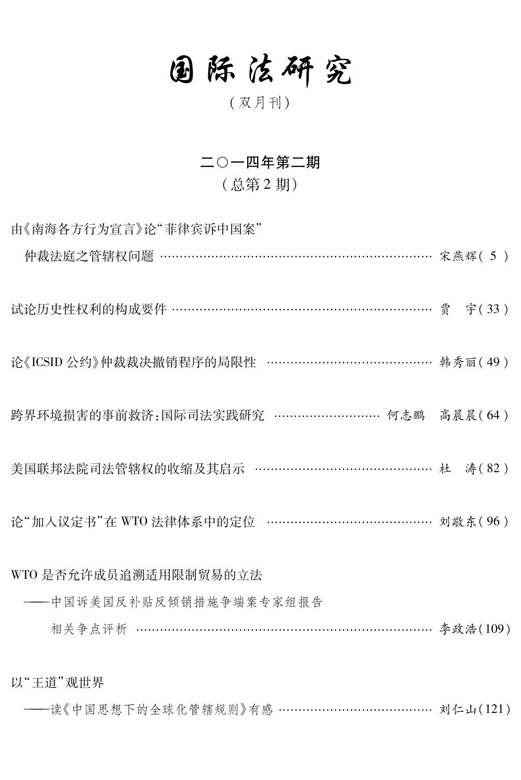# 固际法研究

## (双月刊)

#### 二〇一四年第二期

### (总第2期)

由《南海各方行为宣言》论"菲律宾诉中国案" 仲裁法庭之管辖权问题 …………………………………………………………… 宋燕辉(5) 试论历史性权利的构成要件 …………………………………………………………… 贾 字(33) 论《ICSID公约》仲裁裁决撤销程序的局限性 …………………………………… 韩秀丽(49) 跨界环境损害的事前救济:国际司法实践研究 ……………………… 何志鹏 高晨晨(64) 美国联邦法院司法管辖权的收缩及其启示 ……………………………………… 杜 涛(82) 论"加入议定书"在 WTO 法律体系中的定位 ………………………………… 刘敬东(96) WTO 是否允许成员追溯活用限制贸易的立法 ---中国诉美国反补贴反倾销措施争端案专家组报告 相关争点评析 ……………………………………………………………… 李政浩(109) 以"王道"观世界

-----读《中国思想下的全球化管辖规则》有感 ………………………………… 刘仁山(121)